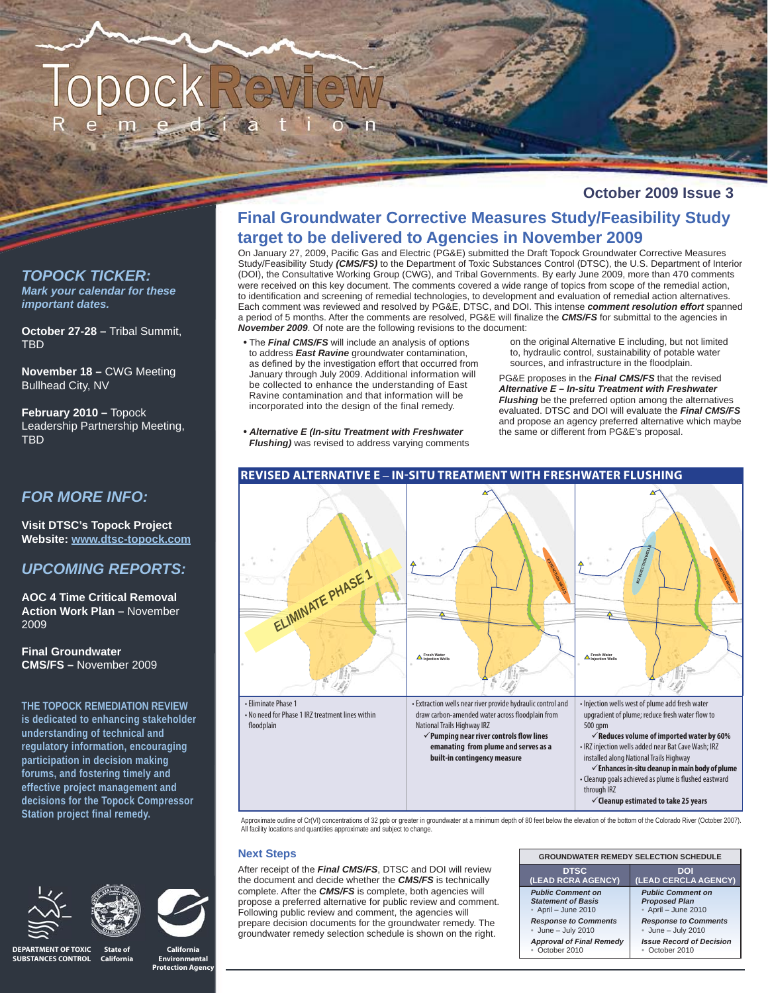## **October 2009 Issue 3**

## *TOPOCK TICKER: Mark your calendar for these important dates.*

**October 27-28 –** Tribal Summit, TBD

**November 18 –** CWG Meeting Bullhead City, NV

**February 2010 –** Topock Leadership Partnership Meeting, **TRD** 

# *FOR MORE INFO:*

**Visit DTSC's Topock Project Website: www.dtsc-topock.com**

# *UPCOMING REPORTS:*

**AOC 4 Time Critical Removal Action Work Plan –** November 2009

**Final Groundwater CMS/FS –** November 2009

**THE TOPOCK REMEDIATION REVIEW is dedicated to enhancing stakeholder understanding of technical and regulatory information, encouraging participation in decision making forums, and fostering timely and effective project management and decisions for the Topock Compressor Station project final remedy.**





**California** 

# **Final Groundwater Corrective Measures Study/Feasibility Study target to be delivered to Agencies in November 2009**

On January 27, 2009, Pacific Gas and Electric (PG&E) submitted the Draft Topock Groundwater Corrective Measures Study/Feasibility Study *(CMS/FS)* to the Department of Toxic Substances Control (DTSC), the U.S. Department of Interior (DOI), the Consultative Working Group (CWG), and Tribal Governments. By early June 2009, more than 470 comments were received on this key document. The comments covered a wide range of topics from scope of the remedial action, to identification and screening of remedial technologies, to development and evaluation of remedial action alternatives. Each comment was reviewed and resolved by PG&E, DTSC, and DOI. This intense *comment resolution effort* spanned a period of 5 months. After the comments are resolved, PG&E will finalize the **CMS/FS** for submittal to the agencies in *November 2009*. Of note are the following revisions to the document:

- The *Final CMS/FS* will include an analysis of options to address *East Ravine* groundwater contamination, as defined by the investigation effort that occurred from January through July 2009. Additional information will be collected to enhance the understanding of East Ravine contamination and that information will be incorporated into the design of the final remedy.
- *Alternative E (In-situ Treatment with Freshwater Flushing)* was revised to address varying comments

on the original Alternative E including, but not limited to, hydraulic control, sustainability of potable water sources, and infrastructure in the floodplain.

PG&E proposes in the *Final CMS/FS* that the revised *Alternative E – In-situ Treatment with Freshwater Flushing* be the preferred option among the alternatives evaluated. DTSC and DOI will evaluate the *Final CMS/FS* and propose an agency preferred alternative which maybe the same or different from PG&E's proposal.



Approximate outline of Cr(VI) concentrations of 32 ppb or greater in groundwater at a minimum depth of 80 feet below the elevation of the bottom of the Colorado River (October 2007). All facility locations and quantities approximate and subject to change.

## **Next Steps**

After receipt of the *Final CMS/FS*, DTSC and DOI will review the document and decide whether the *CMS/FS* is technically complete. After the *CMS/FS* is complete, both agencies will propose a preferred alternative for public review and comment. Following public review and comment, the agencies will prepare decision documents for the groundwater remedy. The groundwater remedy selection schedule is shown on the right.

| <b>GROUNDWATER REMEDY SELECTION SCHEDULE</b> |                                 |
|----------------------------------------------|---------------------------------|
| <b>DTSC</b>                                  | DOI                             |
| (LEAD RCRA AGENCY)                           | (LEAD CERCLA AGENCY)            |
| <b>Public Comment on</b>                     | <b>Public Comment on</b>        |
| <b>Statement of Basis</b>                    | <b>Proposed Plan</b>            |
| • April - June 2010                          | April - June 2010               |
| <b>Response to Comments</b>                  | <b>Response to Comments</b>     |
| June $-$ July 2010                           | June $-$ July 2010              |
| <b>Approval of Final Remedy</b>              | <b>Issue Record of Decision</b> |
| October 2010                                 | October 2010                    |

**State of California DEPARTMENT OF TOXIC SUBSTANCES CONTROL**

**Environmental Protection Agency**